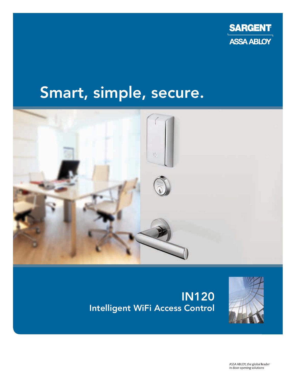

# Smart, simple, secure.



# IN120 Intelligent WiFi Access Control



ASSA ABLOY, the global leader in door opening solutions